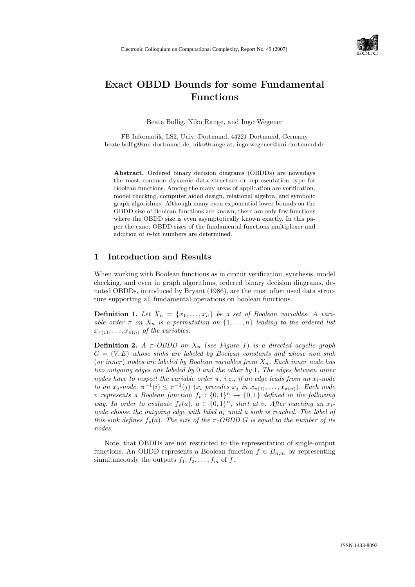

# Exact OBDD Bounds for some Fundamental Functions

Beate Bollig, Niko Range, and Ingo Wegener

FB Informatik, LS2, Univ. Dortmund, 44221 Dortmund, Germany beate.bollig@uni-dortmund.de, niko@range.at, ingo.wegener@uni-dortmund.de

Abstract. Ordered binary decision diagrams (OBDDs) are nowadays the most common dynamic data structure or representation type for Boolean functions. Among the many areas of application are verification, model checking, computer aided design, relational algebra, and symbolic graph algorithms. Although many even exponential lower bounds on the OBDD size of Boolean functions are known, there are only few functions where the OBDD size is even asymptotically known exactly. In this paper the exact OBDD sizes of the fundamental functions multiplexer and addition of n-bit numbers are determined.

# 1 Introduction and Results

When working with Boolean functions as in circuit verification, synthesis, model checking, and even in graph algorithms, ordered binary decision diagrams, denoted OBDDs, introduced by Bryant (1986), are the most often used data structure supporting all fundamental operations on boolean functions.

**Definition 1.** Let  $X_n = \{x_1, \ldots, x_n\}$  be a set of Boolean variables. A variable order  $\pi$  on  $X_n$  is a permutation on  $\{1, \ldots, n\}$  leading to the ordered list  $x_{\pi(1)}, \ldots, x_{\pi(n)}$  of the variables.

**Definition 2.** A  $\pi$ -OBDD on  $X_n$  (see Figure 1) is a directed acyclic graph  $G = (V, E)$  whose sinks are labeled by Boolean constants and whose non sink (or inner) nodes are labeled by Boolean variables from  $X_n$ . Each inner node has two outgoing edges one labeled by 0 and the other by 1. The edges between inner nodes have to respect the variable order  $\pi$ , *i.e.*, *if an edge leads from an x<sub>i</sub>-node* to an  $x_j$ -node,  $\pi^{-1}(i) \leq \pi^{-1}(j)$  ( $x_i$  precedes  $x_j$  in  $x_{\pi(1)}, \ldots, x_{\pi(n)}$ ). Each node v represents a Boolean function  $f_v: \{0,1\}^n \rightarrow \{0,1\}$  defined in the following way. In order to evaluate  $f_v(a)$ ,  $a \in \{0,1\}^n$ , start at v. After reaching an  $x_i$ . node choose the outgoing edge with label  $a_i$  until a sink is reached. The label of this sink defines  $f_n(a)$ . The size of the  $\pi$ -OBDD G is equal to the number of its nodes.

Note, that OBDDs are not restricted to the representation of single-output functions. An OBDD represents a Boolean function  $f \in B_{n,m}$  by representing simultaneously the outputs  $f_1, f_2, \ldots, f_m$  of f.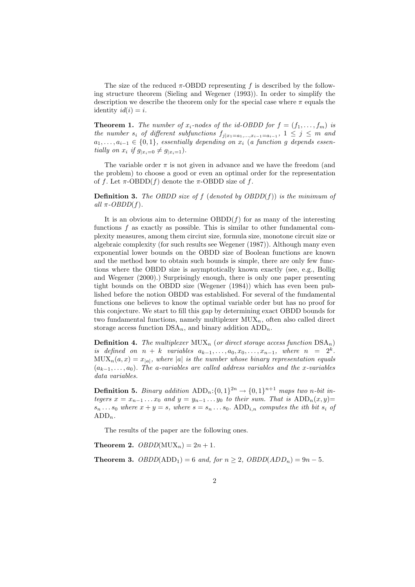The size of the reduced  $\pi$ -OBDD representing f is described by the following structure theorem (Sieling and Wegener (1993)). In order to simplify the description we describe the theorem only for the special case where  $\pi$  equals the identity  $id(i) = i$ .

**Theorem 1.** The number of  $x_i$ -nodes of the id-OBDD for  $f = (f_1, \ldots, f_m)$  is the number  $s_i$  of different subfunctions  $f_{j|x_1=a_1,...,x_{i-1}=a_{i-1}}$ ,  $1 \leq j \leq m$  and  $a_1, \ldots, a_{i-1} \in \{0,1\}$ , essentially depending on  $x_i$  (a function g depends essentially on  $x_i$  if  $g_{|x_i=0} \neq g_{|x_i=1}$ .

The variable order  $\pi$  is not given in advance and we have the freedom (and the problem) to choose a good or even an optimal order for the representation of f. Let  $\pi$ -OBDD(f) denote the  $\pi$ -OBDD size of f.

**Definition 3.** The OBDD size of f (denoted by  $OBDD(f)$ ) is the minimum of all  $\pi$ -OBDD(f).

It is an obvious aim to determine  $OBDD(f)$  for as many of the interesting functions  $f$  as exactly as possible. This is similar to other fundamental complexity measures, among them circiut size, formula size, monotone circuit size or algebraic complexity (for such results see Wegener (1987)). Although many even exponential lower bounds on the OBDD size of Boolean functions are known and the method how to obtain such bounds is simple, there are only few functions where the OBDD size is asymptotically known exactly (see, e.g., Bollig and Wegener (2000).) Surprisingly enough, there is only one paper presenting tight bounds on the OBDD size (Wegener (1984)) which has even been published before the notion OBDD was established. For several of the fundamental functions one believes to know the optimal variable order but has no proof for this conjecture. We start to fill this gap by determining exact OBDD bounds for two fundamental functions, namely multiplexer  $MUX_n$ , often also called direct storage access function  $DSA_n$ , and binary addition  $ADD_n$ .

**Definition 4.** The multiplexer  $MUX_n$  (or direct storage access function  $DSA_n)$ is defined on  $n + k$  variables  $a_{k-1}, \ldots, a_0, x_0, \ldots, x_{n-1}$ , where  $n = 2^k$ .  $\text{MUX}_n(a, x) = x_{|a|}$ , where |a| is the number whose binary representation equals  $(a_{k-1}, \ldots, a_0)$ . The a-variables are called address variables and the x-variables data variables.

**Definition 5.** Binary addition  $\text{ADD}_n: \{0, 1\}^{2n} \to \{0, 1\}^{n+1}$  maps two n-bit integers  $x = x_{n-1} \ldots x_0$  and  $y = y_{n-1} \ldots y_0$  to their sum. That is  $ADD_n(x, y) =$  $s_n \dots s_0$  where  $x + y = s$ , where  $s = s_n \dots s_0$ . ADD<sub>i,n</sub> computes the ith bit  $s_i$  of  $ADD_n$ .

The results of the paper are the following ones.

Theorem 2.  $OBDD(MUX_n) = 2n + 1$ .

**Theorem 3.**  $OBDD(ADD_1) = 6$  and, for  $n \ge 2$ ,  $OBDD(ADD_n) = 9n - 5$ .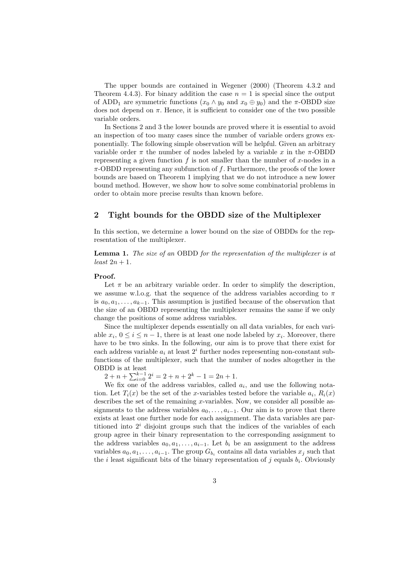The upper bounds are contained in Wegener (2000) (Theorem 4.3.2 and Theorem 4.4.3). For binary addition the case  $n = 1$  is special since the output of ADD<sub>1</sub> are symmetric functions  $(x_0 \wedge y_0 \text{ and } x_0 \oplus y_0)$  and the  $\pi$ -OBDD size does not depend on  $\pi$ . Hence, it is sufficient to consider one of the two possible variable orders.

In Sections 2 and 3 the lower bounds are proved where it is essential to avoid an inspection of too many cases since the number of variable orders grows exponentially. The following simple observation will be helpful. Given an arbitrary variable order  $\pi$  the number of nodes labeled by a variable x in the  $\pi$ -OBDD representing a given function f is not smaller than the number of x-nodes in a  $\pi$ -OBDD representing any subfunction of f. Furthermore, the proofs of the lower bounds are based on Theorem 1 implying that we do not introduce a new lower bound method. However, we show how to solve some combinatorial problems in order to obtain more precise results than known before.

## 2 Tight bounds for the OBDD size of the Multiplexer

In this section, we determine a lower bound on the size of OBDDs for the representation of the multiplexer.

**Lemma 1.** The size of an OBDD for the representation of the multiplexer is at  $least\ 2n+1.$ 

#### Proof.

Let  $\pi$  be an arbitrary variable order. In order to simplify the description, we assume w.l.o.g. that the sequence of the address variables according to  $\pi$ is  $a_0, a_1, \ldots, a_{k-1}$ . This assumption is justified because of the observation that the size of an OBDD representing the multiplexer remains the same if we only change the positions of some address variables.

Since the multiplexer depends essentially on all data variables, for each variable  $x_i, 0 \le i \le n-1$ , there is at least one node labeled by  $x_i$ . Moreover, there have to be two sinks. In the following, our aim is to prove that there exist for each address variable  $a_i$  at least  $2^i$  further nodes representing non-constant subfunctions of the multiplexer, such that the number of nodes altogether in the OBDD is at least

 $2 + n + \sum_{i=0}^{k-1} 2^i = 2 + n + 2^k - 1 = 2n + 1.$ 

We fix one of the address variables, called  $a_i$ , and use the following notation. Let  $T_i(x)$  be the set of the x-variables tested before the variable  $a_i$ ,  $R_i(x)$ describes the set of the remaining  $x$ -variables. Now, we consider all possible assignments to the address variables  $a_0, \ldots, a_{i-1}$ . Our aim is to prove that there exists at least one further node for each assignment. The data variables are partitioned into  $2<sup>i</sup>$  disjoint groups such that the indices of the variables of each group agree in their binary representation to the corresponding assignment to the address variables  $a_0, a_1, \ldots, a_{i-1}$ . Let  $b_i$  be an assignment to the address variables  $a_0, a_1, \ldots, a_{i-1}$ . The group  $G_{b_i}$  contains all data variables  $x_j$  such that the *i* least significant bits of the binary representation of  $j$  equals  $b_i$ . Obviously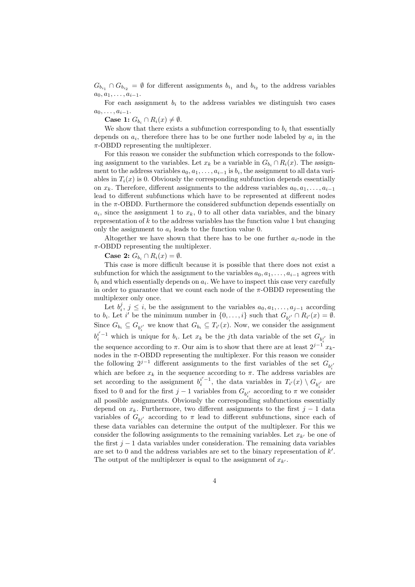$G_{b_{i_1}} \cap G_{b_{i_2}} = \emptyset$  for different assignments  $b_{i_1}$  and  $b_{i_2}$  to the address variables  $a_0, a_1, \ldots, a_{i-1}.$ 

For each assignment  $b_i$  to the address variables we distinguish two cases  $a_0, \ldots, a_{i-1}.$ 

Case 1:  $G_{b_i} \cap R_i(x) \neq \emptyset$ .

We show that there exists a subfunction corresponding to  $b_i$  that essentially depends on  $a_i$ , therefore there has to be one further node labeled by  $a_i$  in the  $\pi$ -OBDD representing the multiplexer.

For this reason we consider the subfunction which corresponds to the following assignment to the variables. Let  $x_k$  be a variable in  $G_{b_i} \cap R_i(x)$ . The assignment to the address variables  $a_0, a_1, \ldots, a_{i-1}$  is  $b_i$ , the assignment to all data variables in  $T_i(x)$  is 0. Obviously the corresponding subfunction depends essentially on  $x_k$ . Therefore, different assignments to the address variables  $a_0, a_1, \ldots, a_{i-1}$ lead to different subfunctions which have to be represented at different nodes in the  $\pi$ -OBDD. Furthermore the considered subfunction depends essentially on  $a_i$ , since the assignment 1 to  $x_k$ , 0 to all other data variables, and the binary representation of  $k$  to the address variables has the function value 1 but changing only the assignment to  $a_i$  leads to the function value 0.

Altogether we have shown that there has to be one further  $a_i$ -node in the  $\pi$ -OBDD representing the multiplexer.

Case 2:  $G_{b_i} \cap R_i(x) = \emptyset$ .

This case is more difficult because it is possible that there does not exist a subfunction for which the assignment to the variables  $a_0, a_1, \ldots, a_{i-1}$  agrees with  $b_i$  and which essentially depends on  $a_i$ . We have to inspect this case very carefully in order to guarantee that we count each node of the  $\pi$ -OBDD representing the multiplexer only once.

Let  $b_i^j$ ,  $j \leq i$ , be the assignment to the variables  $a_0, a_1, \ldots, a_{j-1}$  according to  $b_i$ . Let i' be the minimum number in  $\{0, \ldots, i\}$  such that  $G_{b_i^{i'}} \cap R_{i'}(x) = \emptyset$ . Since  $G_{b_i} \subseteq G_{b_i^{i'}}$  we know that  $G_{b_i} \subseteq T_{i'}(x)$ . Now, we consider the assignment  $b_i^{i'}$ <sup>-1</sup> which is unique for  $b_i$ . Let  $x_k$  be the j<sup>th</sup> data variable of the set  $G_{b_i^{i'}}$  in the sequence according to  $\pi$ . Our aim is to show that there are at least  $2^{j-1} x_k$ nodes in the  $\pi$ -OBDD representing the multiplexer. For this reason we consider the following  $2^{j-1}$  different assignments to the first variables of the set  $G_{b_i^{i'}}$ which are before  $x_k$  in the sequence according to  $\pi$ . The address variables are set according to the assignment  $b_i^{i'-1}$ , the data variables in  $T_{i'}(x) \setminus G_{b_i^{i'}}$  are fixed to 0 and for the first  $j-1$  variables from  $G_{b_i^{i'}}$  according to  $\pi$  we consider all possible assignments. Obviously the corresponding subfunctions essentially depend on  $x_k$ . Furthermore, two different assignments to the first  $j-1$  data variables of  $G_{b_i^{i'}}$  according to  $\pi$  lead to different subfunctions, since each of these data variables can determine the output of the multiplexer. For this we consider the following assignments to the remaining variables. Let  $x_{k'}$  be one of the first  $j-1$  data variables under consideration. The remaining data variables are set to 0 and the address variables are set to the binary representation of  $k'$ . The output of the multiplexer is equal to the assignment of  $x_{k'}$ .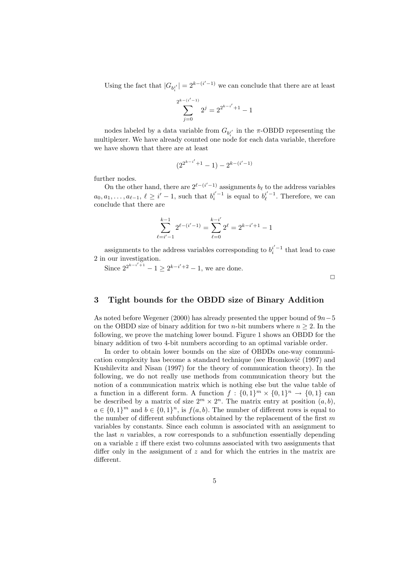Using the fact that  $|G_{b_i^{i'}}| = 2^{k-(i'-1)}$  we can conclude that there are at least

$$
\sum_{j=0}^{2^{k-(i'-1)}} 2^j = 2^{2^{k-i'}+1} - 1
$$

nodes labeled by a data variable from  $G_{b_i^i}$  in the  $\pi$ -OBDD representing the multiplexer. We have already counted one node for each data variable, therefore we have shown that there are at least

$$
(2^{2^{k-i'}+1}-1) - 2^{k-(i'-1)}
$$

further nodes.

On the other hand, there are  $2^{\ell - (i'-1)}$  assignments  $b_{\ell}$  to the address variables  $a_0, a_1, \ldots, a_{\ell-1}, \ell \geq i'-1$ , such that  $b_i^{i'-1}$  is equal to  $b_\ell^{i'-1}$ . Therefore, we can conclude that there are

$$
\sum_{\ell=i'-1}^{k-1} 2^{\ell-(i'-1)} = \sum_{\ell=0}^{k-i'} 2^{\ell} = 2^{k-i'+1} - 1
$$

assignments to the address variables corresponding to  $b_i^{i'-1}$  that lead to case 2 in our investigation.

Since  $2^{2^{k-i'+1}} - 1 \ge 2^{k-i'+2} - 1$ , we are done.

 $\Box$ 

## 3 Tight bounds for the OBDD size of Binary Addition

As noted before Wegener (2000) has already presented the upper bound of  $9n-5$ on the OBDD size of binary addition for two *n*-bit numbers where  $n \geq 2$ . In the following, we prove the matching lower bound. Figure 1 shows an OBDD for the binary addition of two 4-bit numbers according to an optimal variable order.

In order to obtain lower bounds on the size of OBDDs one-way communication complexity has become a standard technique (see Hromkovič (1997) and Kushilevitz and Nisan (1997) for the theory of communication theory). In the following, we do not really use methods from communication theory but the notion of a communication matrix which is nothing else but the value table of a function in a different form. A function  $f: \{0,1\}^m \times \{0,1\}^n \rightarrow \{0,1\}$  can be described by a matrix of size  $2^m \times 2^n$ . The matrix entry at position  $(a, b)$ ,  $a \in \{0,1\}^m$  and  $b \in \{0,1\}^n$ , is  $f(a, b)$ . The number of different rows is equal to the number of different subfunctions obtained by the replacement of the first  $m$ variables by constants. Since each column is associated with an assignment to the last  $n$  variables, a row corresponds to a subfunction essentially depending on a variable  $z$  iff there exist two columns associated with two assignments that differ only in the assignment of  $z$  and for which the entries in the matrix are different.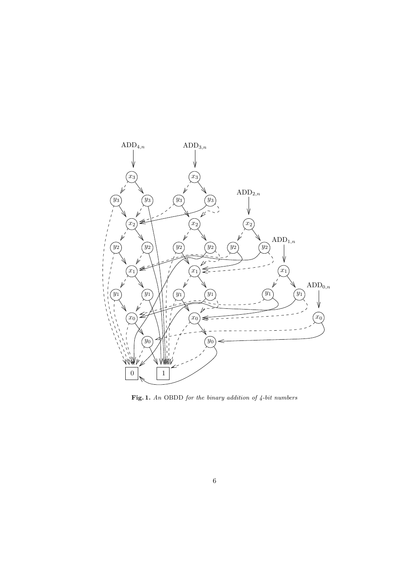

Fig. 1. An OBDD for the binary addition of 4-bit numbers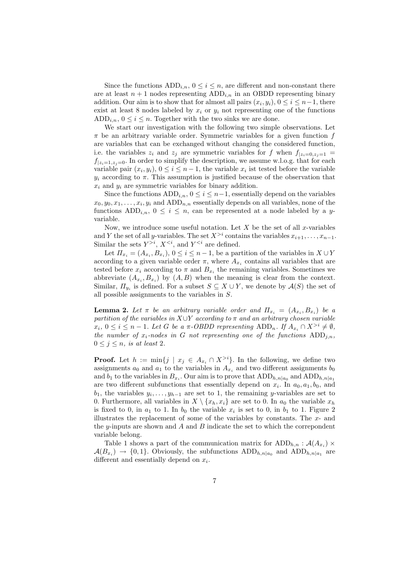Since the functions  $ADD_{i,n}$ ,  $0 \leq i \leq n$ , are different and non-constant there are at least  $n+1$  nodes representing  $ADD_{i,n}$  in an OBDD representing binary addition. Our aim is to show that for almost all pairs  $(x_i, y_i)$ ,  $0 \le i \le n-1$ , there exist at least 8 nodes labeled by  $x_i$  or  $y_i$  not representing one of the functions ADD<sub>in</sub>,  $0 \le i \le n$ . Together with the two sinks we are done.

We start our investigation with the following two simple observations. Let  $\pi$  be an arbitrary variable order. Symmetric variables for a given function f are variables that can be exchanged without changing the considered function, i.e. the variables  $z_i$  and  $z_j$  are symmetric variables for f when  $f_{|z_i=0,z_i=1}$  =  $f_{|z_i=1,z_i=0}$ . In order to simplify the description, we assume w.l.o.g. that for each variable pair  $(x_i, y_i)$ ,  $0 \le i \le n-1$ , the variable  $x_i$  ist tested before the variable  $y_i$  according to  $\pi$ . This assumption is justified because of the observation that  $x_i$  and  $y_i$  are symmetric variables for binary addition.

Since the functions  $ADD_{i,n}$ ,  $0 \leq i \leq n-1$ , essentially depend on the variables  $x_0, y_0, x_1, \ldots, x_i, y_i$  and  $ADD_{n,n}$  essentially depends on all variables, none of the functions  $ADD_{i,n}$ ,  $0 \leq i \leq n$ , can be represented at a node labeled by a yvariable.

Now, we introduce some useful notation. Let  $X$  be the set of all  $x$ -variables and Y the set of all y-variables. The set  $X^{>i}$  contains the variables  $x_{i+1}, \ldots, x_{n-1}$ . Similar the sets  $Y^{>i}$ ,  $X^{, and  $Y^{ are defined.$$ 

Let  $\Pi_{x_i} = (A_{x_i}, B_{x_i}), 0 \leq i \leq n-1$ , be a partition of the variables in  $X \cup Y$ according to a given variable order  $\pi$ , where  $A_{x_i}$  contains all variables that are tested before  $x_i$  according to  $\pi$  and  $B_{x_i}$  the remaining variables. Sometimes we abbreviate  $(A_{x_i}, B_{x_i})$  by  $(A, B)$  when the meaning is clear from the context. Similar,  $\Pi_{y_i}$  is defined. For a subset  $S \subseteq X \cup Y$ , we denote by  $\mathcal{A}(S)$  the set of all possible assignments to the variables in S.

**Lemma 2.** Let  $\pi$  be an arbitrary variable order and  $\Pi_{x_i} = (A_{x_i}, B_{x_i})$  be a partition of the variables in  $X\cup Y$  according to  $\pi$  and an arbitrary chosen variable  $x_i, 0 \leq i \leq n-1$ . Let G be a  $\pi$ -OBDD representing ADD<sub>n</sub>. If  $A_{x_i} \cap X^{>i} \neq \emptyset$ , the number of  $x_i$ -nodes in G not representing one of the functions  $ADD_{i,n}$ ,  $0 \leq j \leq n$ , is at least 2.

**Proof.** Let  $h := \min\{j \mid x_j \in A_{x_i} \cap X^{>i}\}\$ . In the following, we define two assignments  $a_0$  and  $a_1$  to the variables in  $A_{x_i}$  and two different assignments  $b_0$ and  $b_1$  to the variables in  $B_{x_i}$ . Our aim is to prove that  $\text{ADD}_{h,n|a_0}$  and  $\text{ADD}_{h,n|a_1}$ are two different subfunctions that essentially depend on  $x_i$ . In  $a_0, a_1, b_0$ , and  $b_1$ , the variables  $y_i, \ldots, y_{h-1}$  are set to 1, the remaining y-variables are set to 0. Furthermore, all variables in  $X \setminus \{x_h, x_i\}$  are set to 0. In  $a_0$  the variable  $x_h$ is fixed to 0, in  $a_1$  to 1. In  $b_0$  the variable  $x_i$  is set to 0, in  $b_1$  to 1. Figure 2 illustrates the replacement of some of the variables by constants. The  $x$ - and the y-inputs are shown and A and B indicate the set to which the correspondent variable belong.

Table 1 shows a part of the communication matrix for  $ADD_{h,n} : \mathcal{A}(A_{x_i}) \times$  $\mathcal{A}(B_{x_i}) \to \{0,1\}$ . Obviously, the subfunctions  $\text{ADD}_{h,n|a_0}$  and  $\text{ADD}_{h,n|a_1}$  are different and essentially depend on  $x_i$ .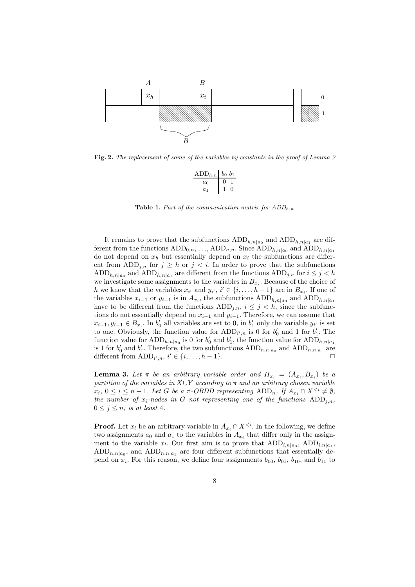

Fig. 2. The replacement of some of the variables by constants in the proof of Lemma 2

| $ADD_{h,n}$ $b_0$ $b_1$ |  |
|-------------------------|--|
| $a_0$                   |  |
| a <sub>1</sub>          |  |

**Table 1.** Part of the communication matrix for  $ADD<sub>h,n</sub>$ 

It remains to prove that the subfunctions  $\text{ADD}_{h,n|a_0}$  and  $\text{ADD}_{h,n|a_1}$  are different from the functions  $ADD_{0,n}, \ldots$ ,  $ADD_{n,n}$ . Since  $ADD_{h,n|a_0}$  and  $ADD_{h,n|a_1}$ do not depend on  $x_h$  but essentially depend on  $x_i$  the subfunctions are different from ADD<sub>j,n</sub> for  $j \geq h$  or  $j < i$ . In order to prove that the subfunctions ADD<sub>h,n|a<sub>0</sub></sub> and ADD<sub>h,n|a<sub>1</sub></sub> are different from the functions ADD<sub>j,n</sub> for  $i \leq j < h$ we investigate some assignments to the variables in  $B_{x_i}$ . Because of the choice of h we know that the variables  $x_{i'}$  and  $y_{i'}$ ,  $i' \in \{i, ..., h-1\}$  are in  $B_{x_i}$ . If one of the variables  $x_{i-1}$  or  $y_{i-1}$  is in  $A_{x_i}$ , the subfunctions  $ADD_{h,n|a_0}$  and  $ADD_{h,n|a_1}$ have to be different from the functions  $ADD_{i,n}$ ,  $i \leq j \leq h$ , since the subfunctions do not essentially depend on  $x_{i-1}$  and  $y_{i-1}$ . Therefore, we can assume that  $x_{i-1}, y_{i-1} \in B_{x_i}$ . In  $b'_0$  all variables are set to 0, in  $b'_1$  only the variable  $y_{i'}$  is set to one. Obviously, the function value for  $ADD_{i',n}$  is 0 for  $b'_0$  and 1 for  $b'_1$ . The function value for  $\text{ADD}_{h,n|a_0}$  is 0 for  $b'_0$  and  $b'_1$ , the function value for  $\text{ADD}_{h,n|a_1}$ is 1 for  $b'_0$  and  $b'_1$ . Therefore, the two subfunctions  $ADD_{h,n|a_0}$  and  $ADD_{h,n|a_1}$  are different from  $\overline{ADD}_{i',n}, i' \in \{i, \ldots, h-1\}.$ 

**Lemma 3.** Let  $\pi$  be an arbitrary variable order and  $\Pi_{x_i} = (A_{x_i}, B_{x_i})$  be a partition of the variables in  $X\cup Y$  according to  $\pi$  and an arbitrary chosen variable  $x_i, 0 \leq i \leq n-1$ . Let G be a  $\pi$ -OBDD representing ADD<sub>n</sub>. If  $A_{x_i} \cap X^{\leq i} \neq \emptyset$ , the number of  $x_i$ -nodes in G not representing one of the functions  $ADD_{j,n}$ ,  $0 \leq j \leq n$ , is at least 4.

**Proof.** Let  $x_l$  be an arbitrary variable in  $A_{x_i} \cap X^{\leq i}$ . In the following, we define two assignments  $a_0$  and  $a_1$  to the variables in  $A_{x_i}$  that differ only in the assignment to the variable  $x_l$ . Our first aim is to prove that  $ADD_{i,n|a_0}$ ,  $ADD_{i,n|a_1}$ ,  $ADD_{n,n|a_0}$ , and  $ADD_{n,n|a_1}$  are four different subfunctions that essentially depend on  $x_i$ . For this reason, we define four assignments  $b_{00}$ ,  $b_{01}$ ,  $b_{10}$ , and  $b_{11}$  to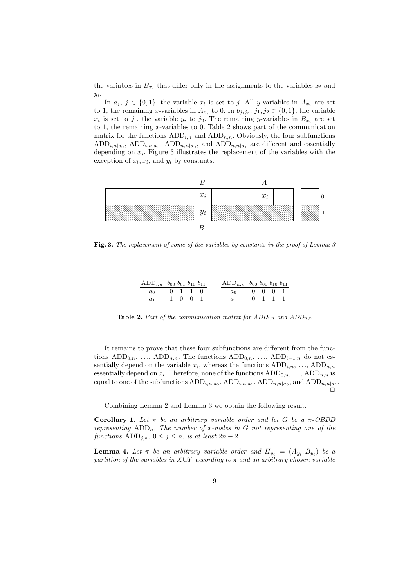the variables in  $B_{x_i}$  that differ only in the assignments to the variables  $x_i$  and  $y_i$ .

In  $a_j, j \in \{0,1\}$ , the variable  $x_l$  is set to j. All y-variables in  $A_{x_i}$  are set to 1, the remaining x-variables in  $A_{x_i}$  to 0. In  $b_{j_1j_2}, j_1, j_2 \in \{0,1\}$ , the variable  $x_i$  is set to  $j_1$ , the variable  $y_i$  to  $j_2$ . The remaining y-variables in  $B_{x_i}$  are set to 1, the remaining x-variables to 0. Table 2 shows part of the communication matrix for the functions  $ADD_{i,n}$  and  $ADD_{n,n}$ . Obviously, the four subfunctions  $ADD_{i,n|a_0}$ ,  $ADD_{i,n|a_1}$ ,  $ADD_{n,n|a_0}$ , and  $ADD_{n,n|a_1}$  are different and essentially depending on  $x_i$ . Figure 3 illustrates the replacement of the variables with the exception of  $x_l, x_i$ , and  $y_i$  by constants.



Fig. 3. The replacement of some of the variables by constants in the proof of Lemma 3

| $ADD_{i,n}$ $b_{00}$ $b_{01}$ $b_{10}$ $b_{11}$                                    |  |  | $ADD_{n,n}$ $b_{00}$ $b_{01}$ $b_{10}$ $b_{11}$ |  |  |
|------------------------------------------------------------------------------------|--|--|-------------------------------------------------|--|--|
| $\begin{array}{c cccc} a_0 & & 0 & 1 & 1 & 0 \\ a_1 & & 1 & 0 & 0 & 1 \end{array}$ |  |  | $a_0$ 0 0 0 1                                   |  |  |
|                                                                                    |  |  | $a_1$ 0 1 1 1                                   |  |  |

**Table 2.** Part of the communication matrix for  $ADD_{i,n}$  and  $ADD_{n,n}$ 

It remains to prove that these four subfunctions are different from the functions  $ADD_{0,n}, \ldots$ ,  $ADD_{n,n}$ . The functions  $ADD_{0,n}, \ldots$ ,  $ADD_{i-1,n}$  do not essentially depend on the variable  $x_i$ , whereas the functions  $ADD_{i,n}, \ldots$ ,  $ADD_{n,n}$ essentially depend on  $x_l$ . Therefore, none of the functions  $ADD_{0,n}, \ldots$ ,  $ADD_{n,n}$  is equal to one of the subfunctions  $\text{ADD}_{i,n|a_0}$ ,  $\text{ADD}_{i,n|a_1}$ ,  $\text{ADD}_{n,n|a_0}$ , and  $\text{ADD}_{n,n|a_1}$ . ö

Combining Lemma 2 and Lemma 3 we obtain the following result.

Corollary 1. Let  $\pi$  be an arbitrary variable order and let G be a  $\pi$ -OBDD representing  $ADD_n$ . The number of x-nodes in G not representing one of the functions  $ADD_{j,n}$ ,  $0 \leq j \leq n$ , is at least  $2n-2$ .

**Lemma 4.** Let  $\pi$  be an arbitrary variable order and  $\Pi_{y_i} = (A_{y_i}, B_{y_i})$  be a partition of the variables in  $X\cup Y$  according to  $\pi$  and an arbitrary chosen variable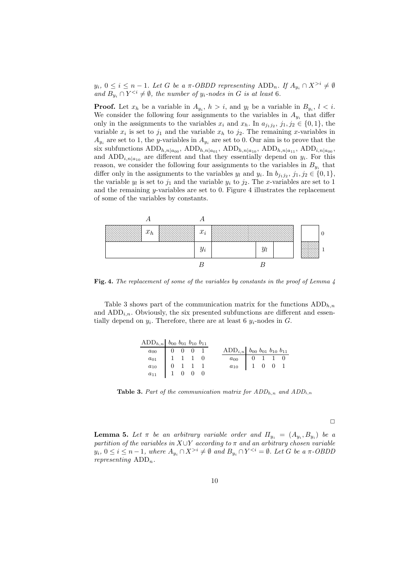$y_i, 0 \le i \le n-1$ . Let G be a  $\pi$ -OBDD representing ADD<sub>n</sub>. If  $A_{y_i} \cap X^{>i} \ne \emptyset$ and  $B_{y_i} \cap Y^{< i} \neq \emptyset$ , the number of  $y_i$ -nodes in G is at least 6.

**Proof.** Let  $x_h$  be a variable in  $A_{y_i}$ ,  $h > i$ , and  $y_l$  be a variable in  $B_{y_i}$ ,  $l < i$ . We consider the following four assignments to the variables in  $A_{y_i}$  that differ only in the assignments to the variables  $x_i$  and  $x_h$ . In  $a_{j_1j_2}, j_1, j_2 \in \{0,1\}$ , the variable  $x_i$  is set to  $j_1$  and the variable  $x_h$  to  $j_2$ . The remaining x-variables in  $A_{y_i}$  are set to 1, the y-variables in  $A_{y_i}$  are set to 0. Our aim is to prove that the six subfunctions  $\text{ADD}_{h,n|a_{00}}$ ,  $\text{ADD}_{h,n|a_{01}}$ ,  $\text{ADD}_{h,n|a_{10}}$ ,  $\text{ADD}_{h,n|a_{11}}$ ,  $\text{ADD}_{i,n|a_{00}}$ , and  $ADD_{i,n|a_{10}}$  are different and that they essentially depend on  $y_i$ . For this reason, we consider the following four assignments to the variables in  $B_{y_i}$  that differ only in the assignments to the variables  $y_l$  and  $y_i$ . In  $b_{j_1j_2}, j_1, j_2 \in \{0,1\}$ , the variable  $y_l$  is set to  $j_1$  and the variable  $y_i$  to  $j_2$ . The x-variables are set to 1 and the remaining  $y$ -variables are set to  $0$ . Figure 4 illustrates the replacement of some of the variables by constants.



Fig. 4. The replacement of some of the variables by constants in the proof of Lemma 4

Table 3 shows part of the communication matrix for the functions  $ADD_{h,n}$ and  $ADD_{i,n}$ . Obviously, the six presented subfunctions are different and essentially depend on  $y_i$ . Therefore, there are at least 6  $y_i$ -nodes in G.

| $ADD_{h,n}$ $b_{00}$ $b_{01}$ $b_{10}$ $b_{11}$                                                                                       |  |  |                                                                                      |  |  |
|---------------------------------------------------------------------------------------------------------------------------------------|--|--|--------------------------------------------------------------------------------------|--|--|
|                                                                                                                                       |  |  | $ADD_{i,n}$ $b_{00}$ $b_{01}$ $b_{10}$ $b_{11}$                                      |  |  |
|                                                                                                                                       |  |  |                                                                                      |  |  |
|                                                                                                                                       |  |  | $\begin{array}{c cccc} a_{00} & 0 & 1 & 1 & 0 \\ a_{10} & 1 & 0 & 0 & 1 \end{array}$ |  |  |
| $\begin{array}{c cccc} a_{00} & 0 & 0 & 0 & 1\\ a_{01} & 1 & 1 & 1 & 0\\ a_{10} & 0 & 1 & 1 & 1\\ a_{11} & 1 & 0 & 0 & 0 \end{array}$ |  |  |                                                                                      |  |  |

Table 3. Part of the communication matrix for  $ADD_{h,n}$  and  $ADD_{i,n}$ 

 $\Box$ 

**Lemma 5.** Let  $\pi$  be an arbitrary variable order and  $\Pi_{y_i} = (A_{y_i}, B_{y_i})$  be a partition of the variables in  $X\cup Y$  according to  $\pi$  and an arbitrary chosen variable  $y_i, 0 \le i \le n-1$ , where  $A_{y_i} \cap X^{>i} \neq \emptyset$  and  $B_{y_i} \cap Y^{. Let G be a  $\pi$ -OBDD$ representing  $ADD_n$ .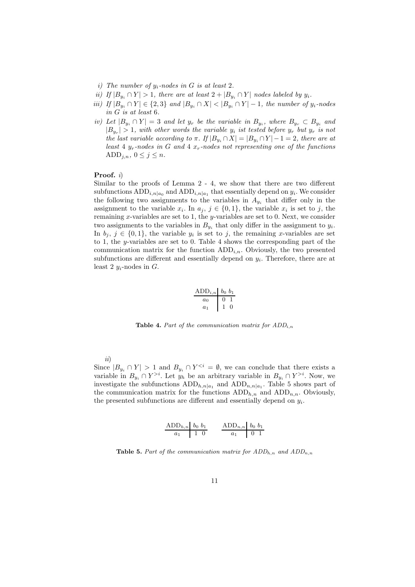- i) The number of  $y_i$ -nodes in G is at least 2.
- ii) If  $|B_{y_i} \cap Y| > 1$ , there are at least  $2 + |B_{y_i} \cap Y|$  nodes labeled by  $y_i$ .
- iii) If  $|B_{y_i} \cap Y|$  ∈  $\{2,3\}$  and  $|B_{y_i} \cap X|$  <  $|B_{y_i} \cap Y|$  1, the number of  $y_i$ -nodes in G is at least 6.
- iv) Let  $|B_{y_i} \cap Y| = 3$  and let  $y_r$  be the variable in  $B_{y_i}$ , where  $B_{y_r} \subset B_{y_i}$  and  $|B_{y_r}| > 1$ , with other words the variable  $y_i$  ist tested before  $y_r$  but  $y_r$  is not the last variable according to  $\pi$ . If  $|B_{y_i} \cap X| = |B_{y_i} \cap Y| - 1 = 2$ , there are at least 4  $y_r$ -nodes in G and 4  $x_r$ -nodes not representing one of the functions ADD<sub>j,n</sub>,  $0 \le j \le n$ .

#### Proof.  $i)$

Similar to the proofs of Lemma 2 - 4, we show that there are two different subfunctions  $\text{ADD}_{i,n|a_0}$  and  $\text{ADD}_{i,n|a_1}$  that essentially depend on  $y_i$ . We consider the following two assignments to the variables in  $A_{y_i}$  that differ only in the assignment to the variable  $x_i$ . In  $a_j$ ,  $j \in \{0,1\}$ , the variable  $x_i$  is set to j, the remaining x-variables are set to 1, the y-variables are set to 0. Next, we consider two assignments to the variables in  $B_{y_i}$  that only differ in the assignment to  $y_i$ . In  $b_j, j \in \{0,1\}$ , the variable  $y_i$  is set to j, the remaining x-variables are set to 1, the y-variables are set to 0. Table 4 shows the corresponding part of the communication matrix for the function  $ADD_{i,n}$ . Obviously, the two presented subfunctions are different and essentially depend on  $y_i$ . Therefore, there are at least 2  $y_i$ -nodes in  $G$ .

$$
\begin{array}{c|cc}\n\text{ADD}_{i,n} & b_0 & b_1 \\
\hline\na_0 & 0 & 1 \\
a_1 & 1 & 0\n\end{array}
$$

**Table 4.** Part of the communication matrix for  $ADD_i$ 

ii)

Since  $|B_{y_i} \cap Y| > 1$  and  $B_{y_i} \cap Y^{\leq i} = \emptyset$ , we can conclude that there exists a variable in  $B_{y_i} \cap Y^{>i}$ . Let  $y_h$  be an arbitrary variable in  $B_{y_i} \cap Y^{>i}$ . Now, we investigate the subfunctions  $ADD_{h,n|a_1}$  and  $ADD_{n,n|a_1}$ . Table 5 shows part of the communication matrix for the functions  $ADD<sub>h,n</sub>$  and  $ADD<sub>n,n</sub>$ . Obviously, the presented subfunctions are different and essentially depend on  $y_i$ .

$$
\frac{\text{ADD}_{h,n}}{a_1} \frac{b_0 \ b_1}{1 \ 0} \qquad \frac{\text{ADD}_{n,n} \ b_0 \ b_1}{a_1 \ 0 \ 1}
$$

**Table 5.** Part of the communication matrix for  $ADD_{h,n}$  and  $ADD_{n,n}$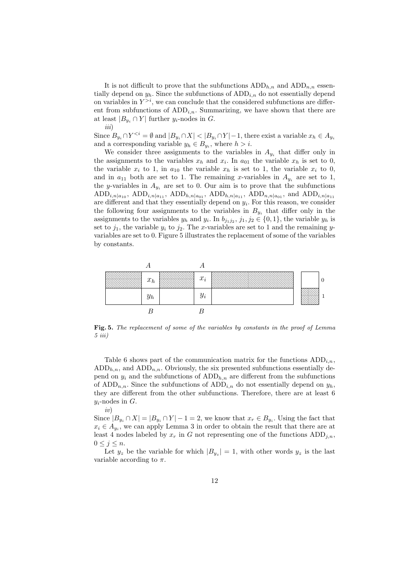It is not difficult to prove that the subfunctions  $ADD_{h,n}$  and  $ADD_{n,n}$  essentially depend on  $y_h$ . Since the subfunctions of  $ADD_{i,n}$  do not essentially depend on variables in  $Y^{>i}$ , we can conclude that the considered subfunctions are different from subfunctions of  $ADD_{i,n}$ . Summarizing, we have shown that there are at least  $|B_{y_i} \cap Y|$  further  $y_i$ -nodes in G. iii)

Since  $B_{y_i} \cap Y^{< i} = \emptyset$  and  $|B_{y_i} \cap X| < |B_{y_i} \cap Y| - 1$ , there exist a variable  $x_h \in A_{y_i}$ and a corresponding variable  $y_h \in B_{y_i}$ , where  $h > i$ .

We consider three assignments to the variables in  $A_{y_i}$  that differ only in the assignments to the variables  $x_h$  and  $x_i$ . In  $a_{01}$  the variable  $x_h$  is set to 0, the variable  $x_i$  to 1, in  $a_{10}$  the variable  $x_h$  is set to 1, the variable  $x_i$  to 0, and in  $a_{11}$  both are set to 1. The remaining x-variables in  $A_{y_i}$  are set to 1, the y-variables in  $A_{y_i}$  are set to 0. Our aim is to prove that the subfunctions ADD<sub>i,n|a<sub>10</sub></sub>, ADD<sub>i,n|a<sub>11</sub></sub>, ADD<sub>h,n|a<sub>01</sub></sub>, ADD<sub>h,n|a<sub>11</sub></sub>, ADD<sub>n,n|a<sub>01</sub></sub>, and ADD<sub>i,n|a<sub>11</sub></sub> are different and that they essentially depend on  $y_i$ . For this reason, we consider the following four assignments to the variables in  $B_{y_i}$  that differ only in the assignments to the variables  $y_h$  and  $y_i$ . In  $b_{j_1j_2}, j_1, j_2 \in \{0, 1\}$ , the variable  $y_h$  is set to  $j_1$ , the variable  $y_i$  to  $j_2$ . The x-variables are set to 1 and the remaining yvariables are set to 0. Figure 5 illustrates the replacement of some of the variables by constants.



Fig. 5. The replacement of some of the variables by constants in the proof of Lemma 5 iii)

Table 6 shows part of the communication matrix for the functions  $ADD_i$ ,  $ADD_{h,n}$ , and  $ADD_{n,n}$ . Obviously, the six presented subfunctions essentially depend on  $y_i$  and the subfunctions of  $ADD_{h,n}$  are different from the subfunctions of ADD<sub>n,n</sub>. Since the subfunctions of ADD<sub>i,n</sub> do not essentially depend on  $y_h$ , they are different from the other subfunctions. Therefore, there are at least 6  $y_i$ -nodes in  $G$ .

Since  $|B_{y_i} \cap X| = |B_{y_i} \cap Y| - 1 = 2$ , we know that  $x_r \in B_{y_i}$ . Using the fact that  $x_i \in A_{y_i}$ , we can apply Lemma 3 in order to obtain the result that there are at least 4 nodes labeled by  $x_r$  in G not representing one of the functions  $ADD_{j,n}$ ,  $0 \leq j \leq n$ .

iv)

Let  $y_z$  be the variable for which  $|B_{y_z}| = 1$ , with other words  $y_z$  is the last variable according to  $\pi$ .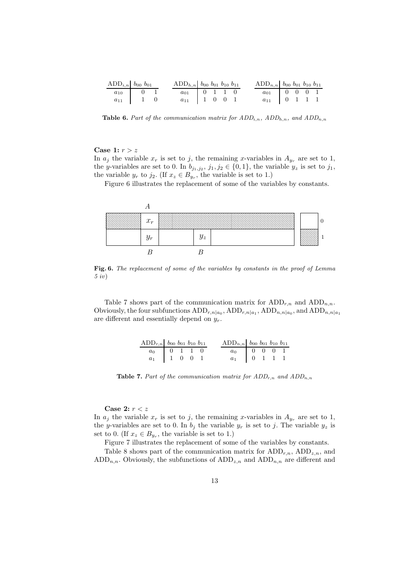| $ADD_{i,n}$ $b_{00}$ $b_{01}$ |  | $\text{ADD}_{h,n}$ $b_{00}$ $b_{01}$ $b_{10}$ $b_{11}$ |  |  | $ADD_{n,n}$ $b_{00}$ $b_{01}$ $b_{10}$ $b_{11}$                                     |  |  |
|-------------------------------|--|--------------------------------------------------------|--|--|-------------------------------------------------------------------------------------|--|--|
| $a_{10}$ 0 1                  |  | $a_{01}$ 0 1 1 0                                       |  |  | $\begin{array}{c cccc} a_{01} & 0 & 0 & 0 & 1 \ a_{11} & 0 & 1 & 1 & 1 \end{array}$ |  |  |
| $a_{11}$ 1 0                  |  | $a_{11}$ 1 0 0 1                                       |  |  |                                                                                     |  |  |

**Table 6.** Part of the communication matrix for  $ADD_{i,n}$ ,  $ADD_{h,n}$ , and  $ADD_{n,n}$ 

### Case 1:  $r > z$

In  $a_j$  the variable  $x_r$  is set to j, the remaining x-variables in  $A_{y_r}$  are set to 1, the y-variables are set to 0. In  $b_{j_1,j_2}, j_1, j_2 \in \{0,1\}$ , the variable  $y_z$  is set to  $j_1$ , the variable  $y_r$  to  $j_2$ . (If  $x_z \in B_{y_r}$ , the variable is set to 1.)

Figure 6 illustrates the replacement of some of the variables by constants.



Fig. 6. The replacement of some of the variables by constants in the proof of Lemma 5 iv)

Table 7 shows part of the communication matrix for  $ADD_{r,n}$  and  $ADD_{n,n}$ . Obviously, the four subfunctions  $ADD_{r,n|a_0}$ ,  $ADD_{r,n|a_1}$ ,  $ADD_{n,n|a_0}$ , and  $ADD_{n,n|a_1}$ are different and essentially depend on  $y_r$ .

| ADD <sub>r,n</sub> $b_{00}$ $b_{01}$ $b_{10}$ $b_{11}$ |  |  | ADD <sub>n,n</sub> $b_{00}$ $b_{01}$ $b_{10}$ $b_{11}$ |  |  |
|--------------------------------------------------------|--|--|--------------------------------------------------------|--|--|
| $\overline{a_0}$ 0 1 1 0                               |  |  | $\boxed{a_0}$ 0 0 0 1                                  |  |  |
| $a_1$   1 0 0 1                                        |  |  | $a_1$ 0 1 1 1                                          |  |  |

Table 7. Part of the communication matrix for  $ADD_{r,n}$  and  $ADD_{n,n}$ 

Case 2:  $r < z$ 

In  $a_j$  the variable  $x_r$  is set to j, the remaining x-variables in  $A_{y_r}$  are set to 1, the y-variables are set to 0. In  $b_j$  the variable  $y_r$  is set to j. The variable  $y_z$  is set to 0. (If  $x_z \in B_{y_r}$ , the variable is set to 1.)

Figure 7 illustrates the replacement of some of the variables by constants.

Table 8 shows part of the communication matrix for  $ADD_{r,n}$ ,  $ADD_{z,n}$ , and  $ADD_{n,n}$ . Obviously, the subfunctions of  $ADD_{z,n}$  and  $ADD_{n,n}$  are different and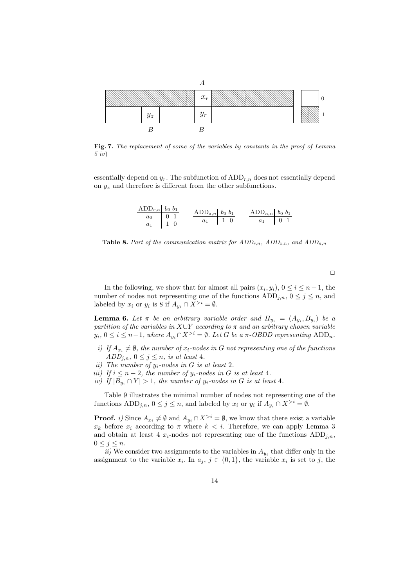

Fig. 7. The replacement of some of the variables by constants in the proof of Lemma 5 iv)

essentially depend on  $y_r$ . The subfunction of  $ADD_{r,n}$  does not essentially depend on  $y_z$  and therefore is different from the other subfunctions.

$$
\begin{array}{c|c}\n\text{ADD}_{r,n} & b_0 & b_1 \\
\hline\na_0 & 0 & 1 \\
a_1 & 1 & 0\n\end{array}\n\qquad\n\begin{array}{c|c}\n\text{ADD}_{z,n} & b_0 & b_1 \\
\hline\na_1 & 1 & 0\n\end{array}\n\qquad\n\begin{array}{c|c}\n\text{ADD}_{n,n} & b_0 & b_1 \\
\hline\na_1 & 0 & 1\n\end{array}
$$

**Table 8.** Part of the communication matrix for  $ADD_{r,n}$ ,  $ADD_{z,n}$ , and  $ADD_{n,n}$ 

 $\Box$ 

In the following, we show that for almost all pairs  $(x_i, y_i)$ ,  $0 \le i \le n-1$ , the number of nodes not representing one of the functions  $ADD_{j,n}$ ,  $0 \leq j \leq n$ , and labeled by  $x_i$  or  $y_i$  is 8 if  $A_{y_i} \cap X^{>i} = \emptyset$ .

**Lemma 6.** Let  $\pi$  be an arbitrary variable order and  $\Pi_{y_i} = (A_{y_i}, B_{y_i})$  be a partition of the variables in  $X\cup Y$  according to  $\pi$  and an arbitrary chosen variable  $y_i, 0 \le i \le n-1$ , where  $A_{y_i} \cap X^{>i} = \emptyset$ . Let G be a  $\pi$ -OBDD representing ADD<sub>n</sub>.

- i) If  $A_{x_i} \neq \emptyset$ , the number of  $x_i$ -nodes in G not representing one of the functions  $ADD_{j,n}, 0 \leq j \leq n$ , is at least 4.
- ii) The number of  $y_i$ -nodes in G is at least 2.
- iii) If  $i \leq n-2$ , the number of  $y_i$ -nodes in G is at least 4.
- iv) If  $|B_{y_i} \cap Y| > 1$ , the number of  $y_i$ -nodes in G is at least 4.

Table 9 illustrates the minimal number of nodes not representing one of the functions  $\text{ADD}_{j,n}$ ,  $0 \leq j \leq n$ , and labeled by  $x_i$  or  $y_i$  if  $A_{y_i} \cap X^{>i} = \emptyset$ .

**Proof.** i) Since  $A_{x_i} \neq \emptyset$  and  $A_{y_i} \cap X^{>i} = \emptyset$ , we know that there exist a variable  $x_k$  before  $x_i$  according to  $\pi$  where  $k < i$ . Therefore, we can apply Lemma 3 and obtain at least 4  $x_i$ -nodes not representing one of the functions  $ADD_{i,n}$ ,  $0 \leq j \leq n$ .

ii) We consider two assignments to the variables in  $A_{y_i}$  that differ only in the assignment to the variable  $x_i$ . In  $a_j$ ,  $j \in \{0,1\}$ , the variable  $x_i$  is set to j, the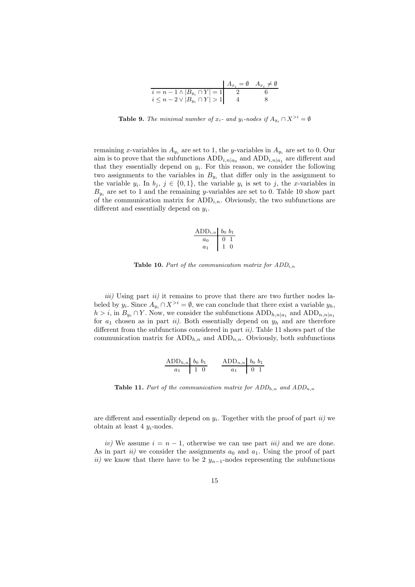|                                         | $A_{x_i} = \emptyset$ $A_{x_i} \neq \emptyset$ |
|-----------------------------------------|------------------------------------------------|
| $i = n - 1 \wedge  B_{y_i} \cap Y  = 1$ |                                                |
| $i \leq n-2 \vee  B_{y_i} \cap Y  > 1$  |                                                |

**Table 9.** The minimal number of  $x_i$ - and  $y_i$ -nodes if  $A_{y_i} \cap X^{>i} = \emptyset$ 

remaining x-variables in  $A_{y_i}$  are set to 1, the y-variables in  $A_{y_i}$  are set to 0. Our aim is to prove that the subfunctions  $\text{ADD}_{i,n|a_0}$  and  $\text{ADD}_{i,n|a_1}$  are different and that they essentially depend on  $y_i$ . For this reason, we consider the following two assignments to the variables in  $B_{y_i}$  that differ only in the assignment to the variable  $y_i$ . In  $b_j$ ,  $j \in \{0,1\}$ , the variable  $y_i$  is set to j, the x-variables in  $B_{y_i}$  are set to 1 and the remaining y-variables are set to 0. Table 10 show part of the communication matrix for  $ADD_{i,n}$ . Obviously, the two subfunctions are different and essentially depend on  $y_i$ .

$$
\begin{array}{c|c}\n\text{ADD}_{i,n} & b_0 & b_1 \\
\hline\na_0 & 0 & 1 \\
a_1 & 1 & 0\n\end{array}
$$

**Table 10.** Part of the communication matrix for  $ADD_{i,n}$ 

 $iii)$  Using part  $ii)$  it remains to prove that there are two further nodes labeled by  $y_i$ . Since  $A_{y_i} \cap X^{>i} = \emptyset$ , we can conclude that there exist a variable  $y_h$ ,  $h > i$ , in  $B_{y_i} \cap Y$ . Now, we consider the subfunctions  $ADD_{h,n|a_1}$  and  $ADD_{n,n|a_1}$ for  $a_1$  chosen as in part ii). Both essentially depend on  $y_h$  and are therefore different from the subfunctions considered in part  $ii$ ). Table 11 shows part of the communication matrix for  $ADD_{h,n}$  and  $ADD_{n,n}$ . Obviously, both subfunctions

$$
\begin{array}{c|c}\n\text{ADD}_{h,n} & b_0 \ b_1 \\
\hline\na_1 & 1 & 0\n\end{array}\n\qquad\n\begin{array}{c|c}\n\text{ADD}_{n,n} & b_0 \ b_1 \\
\hline\na_1 & 0 & 1\n\end{array}
$$

**Table 11.** Part of the communication matrix for  $ADD_{h,n}$  and  $ADD_{n,n}$ 

are different and essentially depend on  $y_i$ . Together with the proof of part  $ii$ ) we obtain at least 4  $y_i$ -nodes.

iv) We assume  $i = n - 1$ , otherwise we can use part *iii*) and we are done. As in part ii) we consider the assignments  $a_0$  and  $a_1$ . Using the proof of part ii) we know that there have to be 2  $y_{n-1}$ -nodes representing the subfunctions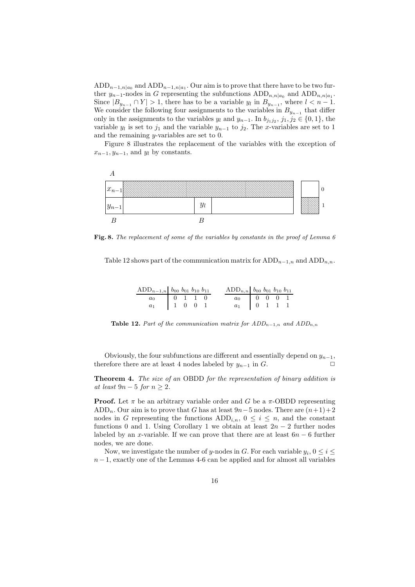$\text{ADD}_{n-1,n|a_0}$  and  $\text{ADD}_{n-1,n|a_1}$ . Our aim is to prove that there have to be two further  $y_{n-1}$ -nodes in G representing the subfunctions  $ADD_{n,n|a_0}$  and  $ADD_{n,n|a_1}$ . Since  $|B_{y_{n-1}} \cap Y| > 1$ , there has to be a variable  $y_l$  in  $B_{y_{n-1}}$ , where  $l < n-1$ . We consider the following four assignments to the variables in  $B_{y_{n-1}}$  that differ only in the assignments to the variables  $y_l$  and  $y_{n-1}$ . In  $b_{j_1j_2}, j_1, j_2 \in \{0, 1\}$ , the variable  $y_l$  is set to  $j_1$  and the variable  $y_{n-1}$  to  $j_2$ . The x-variables are set to 1 and the remaining y-variables are set to 0.

Figure 8 illustrates the replacement of the variables with the exception of  $x_{n-1}, y_{n-1}$ , and  $y_l$  by constants.



Fig. 8. The replacement of some of the variables by constants in the proof of Lemma 6

Table 12 shows part of the communication matrix for  $ADD_{n-1,n}$  and  $ADD_{n,n}$ .

| $ADD_{n-1,n}$ $b_{00}$ $b_{01}$ $b_{10}$ $b_{11}$ |  |  | $ADD_{n,n}$ $b_{00}$ $b_{01}$ $b_{10}$ $b_{11}$                                      |  |  |
|---------------------------------------------------|--|--|--------------------------------------------------------------------------------------|--|--|
| $\boxed{a_0}$ $\boxed{0}$ 1 1 0                   |  |  | $\begin{array}{c cccc} a_0 & 0 & 0 & 0 & 1 \ \hline a_1 & 0 & 1 & 1 & 1 \end{array}$ |  |  |
| $a_1$ 1 0 0 1                                     |  |  |                                                                                      |  |  |

Table 12. Part of the communication matrix for  $ADD_{n-1,n}$  and  $ADD_{n,n}$ 

Obviously, the four subfunctions are different and essentially depend on  $y_{n-1}$ , therefore there are at least 4 nodes labeled by  $y_{n-1}$  in  $G$ .  $\Box$ 

**Theorem 4.** The size of an OBDD for the representation of binary addition is at least  $9n - 5$  for  $n \geq 2$ .

**Proof.** Let  $\pi$  be an arbitrary variable order and G be a  $\pi$ -OBDD representing ADD<sub>n</sub>. Our aim is to prove that G has at least  $9n-5$  nodes. There are  $(n+1)+2$ nodes in G representing the functions  $ADD_{i,n}$ ,  $0 \leq i \leq n$ , and the constant functions 0 and 1. Using Corollary 1 we obtain at least  $2n-2$  further nodes labeled by an x-variable. If we can prove that there are at least  $6n - 6$  further nodes, we are done.

Now, we investigate the number of y-nodes in G. For each variable  $y_i, 0 \le i \le$  $n-1$ , exactly one of the Lemmas 4-6 can be applied and for almost all variables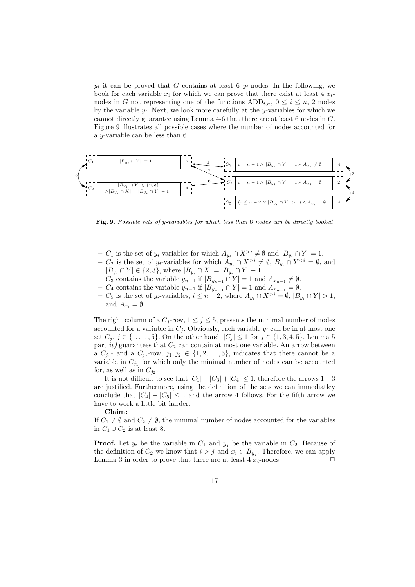$y_i$  it can be proved that G contains at least 6  $y_i$ -nodes. In the following, we book for each variable  $x_i$  for which we can prove that there exist at least 4  $x_i$ nodes in G not representing one of the functions  $ADD_{i,n}$ ,  $0 \leq i \leq n$ , 2 nodes by the variable  $y_i$ . Next, we look more carefully at the y-variables for which we cannot directly guarantee using Lemma 4-6 that there are at least 6 nodes in G. Figure 9 illustrates all possible cases where the number of nodes accounted for a y-variable can be less than 6.



Fig. 9. Possible sets of y-variables for which less than 6 nodes can be directly booked

- $C_1$  is the set of y<sub>i</sub>-variables for which  $A_{y_i} \cap X^{>i} \neq \emptyset$  and  $|B_{y_i} \cap Y| = 1$ .
- $C_2$  is the set of y<sub>i</sub>-variables for which  $A_{y_i} \cap X^{>i} \neq \emptyset$ ,  $B_{y_i} \cap Y^{, and$  $|B_{y_i} \cap Y| \in \{2,3\}$ , where  $|B_{y_i} \cap X| = |B_{y_i} \cap Y| - 1$ .
- $C_3$  contains the variable  $y_{n-1}$  if  $|B_{y_{n-1}} \cap Y| = 1$  and  $A_{x_{n-1}} \neq \emptyset$ .
- $C_4$  contains the variable  $y_{n-1}$  if  $|B_{y_{n-1}} \cap Y| = 1$  and  $A_{x_{n-1}} = ∅$ .
- $C_5$  is the set of  $y_i$ -variables,  $i \leq n-2$ , where  $A_{y_i} \cap X^{>i} = \emptyset$ ,  $|B_{y_i} \cap Y| > 1$ , and  $A_{x_i} = \emptyset$ .

The right column of a  $C_j$ -row,  $1 \leq j \leq 5$ , presents the minimal number of nodes accounted for a variable in  $C_j$ . Obviously, each variable  $y_i$  can be in at most one set  $C_j$ ,  $j \in \{1, ..., 5\}$ . On the other hand,  $|C_j| \leq 1$  for  $j \in \{1, 3, 4, 5\}$ . Lemma 5 part iv) guarantees that  $C_2$  can contain at most one variable. An arrow between a  $C_{j_1}$ - and a  $C_{j_2}$ -row,  $j_1, j_2 \in \{1, 2, \ldots, 5\}$ , indicates that there cannot be a variable in  $C_{j_1}$  for which only the minimal number of nodes can be accounted for, as well as in  $C_{j_2}$ .

It is not difficult to see that  $|C_1| + |C_3| + |C_4| \leq 1$ , therefore the arrows 1 – 3 are justified. Furthermore, using the definition of the sets we can immediatley conclude that  $|C_4| + |C_5| \leq 1$  and the arrow 4 follows. For the fifth arrow we have to work a little bit harder.

#### Claim:

If  $C_1 \neq \emptyset$  and  $C_2 \neq \emptyset$ , the minimal number of nodes accounted for the variables in  $C_1 \cup C_2$  is at least 8.

**Proof.** Let  $y_i$  be the variable in  $C_1$  and  $y_j$  be the variable in  $C_2$ . Because of the definition of  $C_2$  we know that  $i > j$  and  $x_i \in B_{y_j}$ . Therefore, we can apply Lemma 3 in order to prove that there are at least 4  $x_i$ -nodes.  $\Box$